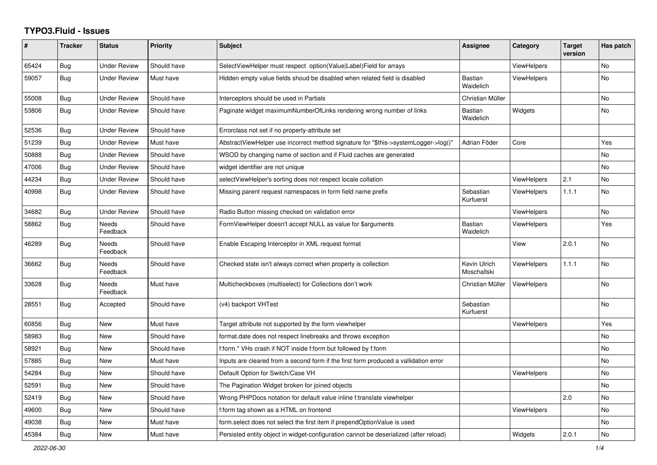## **TYPO3.Fluid - Issues**

| ∦     | <b>Tracker</b> | <b>Status</b>       | <b>Priority</b> | <b>Subject</b>                                                                        | <b>Assignee</b>             | Category           | <b>Target</b><br>version | Has patch |
|-------|----------------|---------------------|-----------------|---------------------------------------------------------------------------------------|-----------------------------|--------------------|--------------------------|-----------|
| 65424 | <b>Bug</b>     | <b>Under Review</b> | Should have     | SelectViewHelper must respect option(Value Label)Field for arrays                     |                             | ViewHelpers        |                          | No        |
| 59057 | Bug            | <b>Under Review</b> | Must have       | Hidden empty value fields shoud be disabled when related field is disabled            | <b>Bastian</b><br>Waidelich | ViewHelpers        |                          | No        |
| 55008 | Bug            | <b>Under Review</b> | Should have     | Interceptors should be used in Partials                                               | Christian Müller            |                    |                          | No        |
| 53806 | Bug            | <b>Under Review</b> | Should have     | Paginate widget maximumNumberOfLinks rendering wrong number of links                  | <b>Bastian</b><br>Waidelich | Widgets            |                          | No        |
| 52536 | Bug            | <b>Under Review</b> | Should have     | Errorclass not set if no property-attribute set                                       |                             |                    |                          |           |
| 51239 | Bug            | <b>Under Review</b> | Must have       | AbstractViewHelper use incorrect method signature for "\$this->systemLogger->log()"   | Adrian Föder                | Core               |                          | Yes       |
| 50888 | <b>Bug</b>     | <b>Under Review</b> | Should have     | WSOD by changing name of section and if Fluid caches are generated                    |                             |                    |                          | No        |
| 47006 | <b>Bug</b>     | <b>Under Review</b> | Should have     | widget identifier are not unique                                                      |                             |                    |                          | No        |
| 44234 | <b>Bug</b>     | <b>Under Review</b> | Should have     | selectViewHelper's sorting does not respect locale collation                          |                             | ViewHelpers        | 2.1                      | No        |
| 40998 | Bug            | Under Review        | Should have     | Missing parent request namespaces in form field name prefix                           | Sebastian<br>Kurfuerst      | ViewHelpers        | 1.1.1                    | No        |
| 34682 | <b>Bug</b>     | Under Review        | Should have     | Radio Button missing checked on validation error                                      |                             | <b>ViewHelpers</b> |                          | No        |
| 58862 | <b>Bug</b>     | Needs<br>Feedback   | Should have     | FormViewHelper doesn't accept NULL as value for \$arguments                           | <b>Bastian</b><br>Waidelich | <b>ViewHelpers</b> |                          | Yes       |
| 46289 | Bug            | Needs<br>Feedback   | Should have     | Enable Escaping Interceptor in XML request format                                     |                             | View               | 2.0.1                    | No        |
| 36662 | Bug            | Needs<br>Feedback   | Should have     | Checked state isn't always correct when property is collection                        | Kevin Ulrich<br>Moschallski | <b>ViewHelpers</b> | 1.1.1                    | No        |
| 33628 | Bug            | Needs<br>Feedback   | Must have       | Multicheckboxes (multiselect) for Collections don't work                              | Christian Müller            | <b>ViewHelpers</b> |                          | No        |
| 28551 | Bug            | Accepted            | Should have     | (v4) backport VHTest                                                                  | Sebastian<br>Kurfuerst      |                    |                          | No        |
| 60856 | Bug            | New                 | Must have       | Target attribute not supported by the form viewhelper                                 |                             | <b>ViewHelpers</b> |                          | Yes       |
| 58983 | Bug            | <b>New</b>          | Should have     | format.date does not respect linebreaks and throws exception                          |                             |                    |                          | No        |
| 58921 | Bug            | <b>New</b>          | Should have     | f:form.* VHs crash if NOT inside f:form but followed by f:form                        |                             |                    |                          | No        |
| 57885 | Bug            | New                 | Must have       | Inputs are cleared from a second form if the first form produced a vallidation error  |                             |                    |                          | No        |
| 54284 | Bug            | New                 | Should have     | Default Option for Switch/Case VH                                                     |                             | ViewHelpers        |                          | No        |
| 52591 | Bug            | New                 | Should have     | The Pagination Widget broken for joined objects                                       |                             |                    |                          | No        |
| 52419 | Bug            | New                 | Should have     | Wrong PHPDocs notation for default value inline f:translate viewhelper                |                             |                    | 2.0                      | No        |
| 49600 | <b>Bug</b>     | <b>New</b>          | Should have     | f:form tag shown as a HTML on frontend                                                |                             | <b>ViewHelpers</b> |                          | No        |
| 49038 | Bug            | New                 | Must have       | form.select does not select the first item if prependOptionValue is used              |                             |                    |                          | No        |
| 45384 | <b>Bug</b>     | New                 | Must have       | Persisted entity object in widget-configuration cannot be deserialized (after reload) |                             | Widgets            | 2.0.1                    | No        |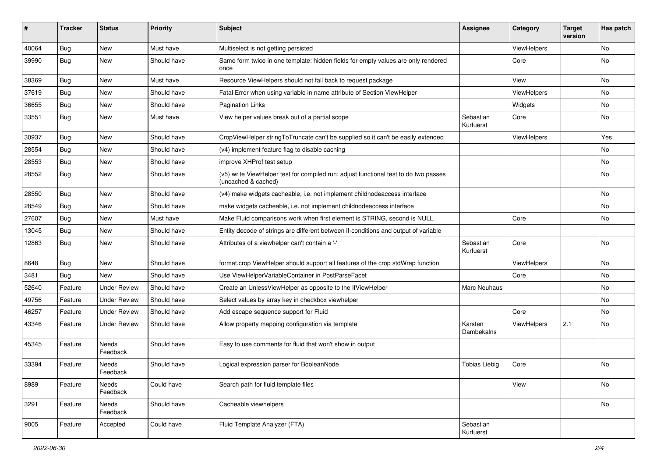| ∦     | <b>Tracker</b> | <b>Status</b>       | <b>Priority</b> | <b>Subject</b>                                                                                              | <b>Assignee</b>        | Category    | <b>Target</b><br>version | Has patch |
|-------|----------------|---------------------|-----------------|-------------------------------------------------------------------------------------------------------------|------------------------|-------------|--------------------------|-----------|
| 40064 | Bug            | New                 | Must have       | Multiselect is not getting persisted                                                                        |                        | ViewHelpers |                          | No        |
| 39990 | Bug            | New                 | Should have     | Same form twice in one template: hidden fields for empty values are only rendered<br>once                   |                        | Core        |                          | No        |
| 38369 | Bug            | New                 | Must have       | Resource ViewHelpers should not fall back to request package                                                |                        | View        |                          | No        |
| 37619 | Bug            | New                 | Should have     | Fatal Error when using variable in name attribute of Section ViewHelper                                     |                        | ViewHelpers |                          | No        |
| 36655 | Bug            | New                 | Should have     | Pagination Links                                                                                            |                        | Widgets     |                          | No        |
| 33551 | Bug            | New                 | Must have       | View helper values break out of a partial scope                                                             | Sebastian<br>Kurfuerst | Core        |                          | No        |
| 30937 | Bug            | <b>New</b>          | Should have     | CropViewHelper stringToTruncate can't be supplied so it can't be easily extended                            |                        | ViewHelpers |                          | Yes       |
| 28554 | Bug            | New                 | Should have     | (v4) implement feature flag to disable caching                                                              |                        |             |                          | No        |
| 28553 | Bug            | New                 | Should have     | improve XHProf test setup                                                                                   |                        |             |                          | No        |
| 28552 | Bug            | New                 | Should have     | (v5) write ViewHelper test for compiled run; adjust functional test to do two passes<br>(uncached & cached) |                        |             |                          | No        |
| 28550 | Bug            | New                 | Should have     | (v4) make widgets cacheable, i.e. not implement childnodeaccess interface                                   |                        |             |                          | No        |
| 28549 | Bug            | New                 | Should have     | make widgets cacheable, i.e. not implement childnodeaccess interface                                        |                        |             |                          | No        |
| 27607 | Bug            | New                 | Must have       | Make Fluid comparisons work when first element is STRING, second is NULL.                                   |                        | Core        |                          | No        |
| 13045 | Bug            | New                 | Should have     | Entity decode of strings are different between if-conditions and output of variable                         |                        |             |                          |           |
| 12863 | Bug            | New                 | Should have     | Attributes of a viewhelper can't contain a '-'                                                              | Sebastian<br>Kurfuerst | Core        |                          | No        |
| 8648  | Bug            | New                 | Should have     | format.crop ViewHelper should support all features of the crop stdWrap function                             |                        | ViewHelpers |                          | No        |
| 3481  | Bug            | New                 | Should have     | Use ViewHelperVariableContainer in PostParseFacet                                                           |                        | Core        |                          | No        |
| 52640 | Feature        | <b>Under Review</b> | Should have     | Create an UnlessViewHelper as opposite to the IfViewHelper                                                  | <b>Marc Neuhaus</b>    |             |                          | No        |
| 49756 | Feature        | <b>Under Review</b> | Should have     | Select values by array key in checkbox viewhelper                                                           |                        |             |                          | No        |
| 46257 | Feature        | <b>Under Review</b> | Should have     | Add escape sequence support for Fluid                                                                       |                        | Core        |                          | No        |
| 43346 | Feature        | <b>Under Review</b> | Should have     | Allow property mapping configuration via template                                                           | Karsten<br>Dambekalns  | ViewHelpers | 2.1                      | No        |
| 45345 | Feature        | Needs<br>Feedback   | Should have     | Easy to use comments for fluid that won't show in output                                                    |                        |             |                          |           |
| 33394 | Feature        | Needs<br>Feedback   | Should have     | Logical expression parser for BooleanNode                                                                   | Tobias Liebig          | Core        |                          | No        |
| 8989  | Feature        | Needs<br>Feedback   | Could have      | Search path for fluid template files                                                                        |                        | View        |                          | No        |
| 3291  | Feature        | Needs<br>Feedback   | Should have     | Cacheable viewhelpers                                                                                       |                        |             |                          | No        |
| 9005  | Feature        | Accepted            | Could have      | Fluid Template Analyzer (FTA)                                                                               | Sebastian<br>Kurfuerst |             |                          |           |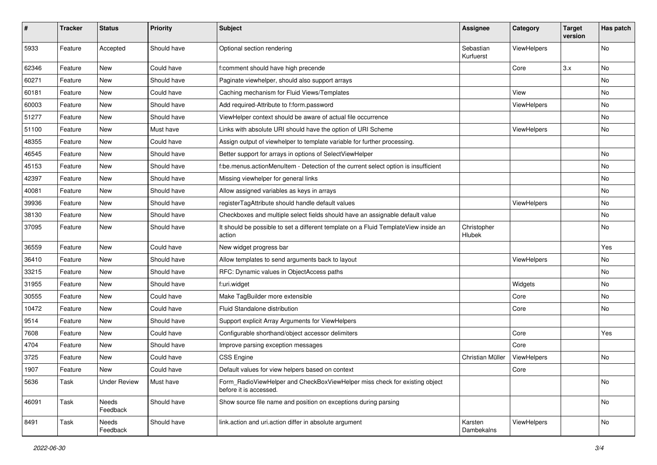| #     | <b>Tracker</b> | <b>Status</b>       | <b>Priority</b> | Subject                                                                                              | <b>Assignee</b>        | Category    | <b>Target</b><br>version | Has patch |
|-------|----------------|---------------------|-----------------|------------------------------------------------------------------------------------------------------|------------------------|-------------|--------------------------|-----------|
| 5933  | Feature        | Accepted            | Should have     | Optional section rendering                                                                           | Sebastian<br>Kurfuerst | ViewHelpers |                          | No        |
| 62346 | Feature        | New                 | Could have      | f:comment should have high precende                                                                  |                        | Core        | 3.x                      | No        |
| 60271 | Feature        | New                 | Should have     | Paginate viewhelper, should also support arrays                                                      |                        |             |                          | No        |
| 60181 | Feature        | New                 | Could have      | Caching mechanism for Fluid Views/Templates                                                          |                        | View        |                          | No        |
| 60003 | Feature        | <b>New</b>          | Should have     | Add required-Attribute to f:form.password                                                            |                        | ViewHelpers |                          | No        |
| 51277 | Feature        | New                 | Should have     | ViewHelper context should be aware of actual file occurrence                                         |                        |             |                          | No        |
| 51100 | Feature        | New                 | Must have       | Links with absolute URI should have the option of URI Scheme                                         |                        | ViewHelpers |                          | No        |
| 48355 | Feature        | New                 | Could have      | Assign output of viewhelper to template variable for further processing.                             |                        |             |                          |           |
| 46545 | Feature        | <b>New</b>          | Should have     | Better support for arrays in options of SelectViewHelper                                             |                        |             |                          | No        |
| 45153 | Feature        | New                 | Should have     | f:be.menus.actionMenuItem - Detection of the current select option is insufficient                   |                        |             |                          | No        |
| 42397 | Feature        | New                 | Should have     | Missing viewhelper for general links                                                                 |                        |             |                          | No        |
| 40081 | Feature        | New                 | Should have     | Allow assigned variables as keys in arrays                                                           |                        |             |                          | No        |
| 39936 | Feature        | New                 | Should have     | registerTagAttribute should handle default values                                                    |                        | ViewHelpers |                          | No        |
| 38130 | Feature        | New                 | Should have     | Checkboxes and multiple select fields should have an assignable default value                        |                        |             |                          | No        |
| 37095 | Feature        | New                 | Should have     | It should be possible to set a different template on a Fluid TemplateView inside an<br>action        | Christopher<br>Hlubek  |             |                          | No        |
| 36559 | Feature        | New                 | Could have      | New widget progress bar                                                                              |                        |             |                          | Yes       |
| 36410 | Feature        | New                 | Should have     | Allow templates to send arguments back to layout                                                     |                        | ViewHelpers |                          | No        |
| 33215 | Feature        | New                 | Should have     | RFC: Dynamic values in ObjectAccess paths                                                            |                        |             |                          | No        |
| 31955 | Feature        | New                 | Should have     | f:uri.widget                                                                                         |                        | Widgets     |                          | No        |
| 30555 | Feature        | New                 | Could have      | Make TagBuilder more extensible                                                                      |                        | Core        |                          | No        |
| 10472 | Feature        | New                 | Could have      | Fluid Standalone distribution                                                                        |                        | Core        |                          | No        |
| 9514  | Feature        | New                 | Should have     | Support explicit Array Arguments for ViewHelpers                                                     |                        |             |                          |           |
| 7608  | Feature        | New                 | Could have      | Configurable shorthand/object accessor delimiters                                                    |                        | Core        |                          | Yes       |
| 4704  | Feature        | New                 | Should have     | Improve parsing exception messages                                                                   |                        | Core        |                          |           |
| 3725  | Feature        | New                 | Could have      | CSS Engine                                                                                           | Christian Müller       | ViewHelpers |                          | No        |
| 1907  | Feature        | New                 | Could have      | Default values for view helpers based on context                                                     |                        | Core        |                          |           |
| 5636  | Task           | <b>Under Review</b> | Must have       | Form RadioViewHelper and CheckBoxViewHelper miss check for existing object<br>before it is accessed. |                        |             |                          | No        |
| 46091 | Task           | Needs<br>Feedback   | Should have     | Show source file name and position on exceptions during parsing                                      |                        |             |                          | No        |
| 8491  | Task           | Needs<br>Feedback   | Should have     | link.action and uri.action differ in absolute argument                                               | Karsten<br>Dambekalns  | ViewHelpers |                          | No        |